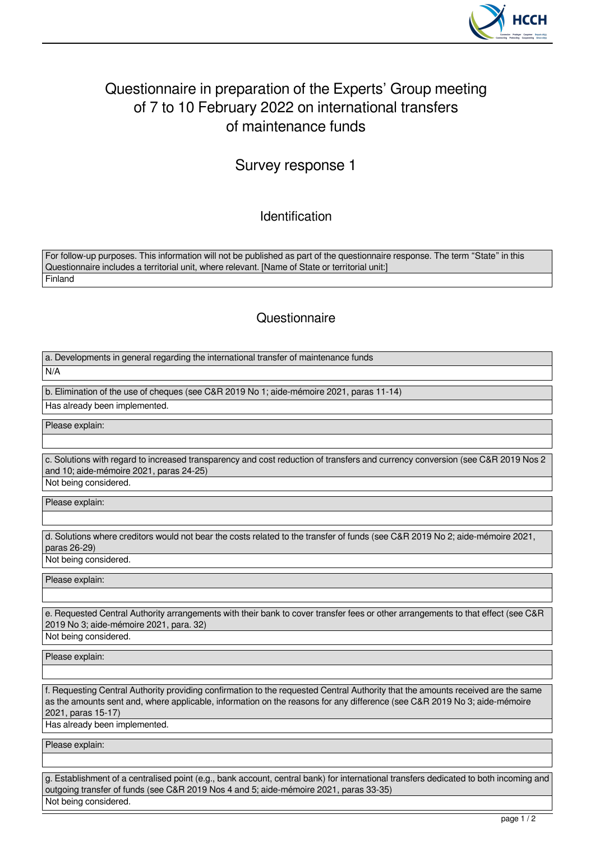

## Questionnaire in preparation of the Experts' Group meeting of 7 to 10 February 2022 on international transfers of maintenance funds

Survey response 1

Identification

For follow-up purposes. This information will not be published as part of the questionnaire response. The term "State" in this Questionnaire includes a territorial unit, where relevant. [Name of State or territorial unit:] **Finland** 

## **Questionnaire**

a. Developments in general regarding the international transfer of maintenance funds

N/A

b. Elimination of the use of cheques (see C&R 2019 No 1; aide-mémoire 2021, paras 11-14) Has already been implemented.

Please explain:

c. Solutions with regard to increased transparency and cost reduction of transfers and currency conversion (see C&R 2019 Nos 2 and 10; aide-mémoire 2021, paras 24-25)

Not being considered.

Please explain:

d. Solutions where creditors would not bear the costs related to the transfer of funds (see C&R 2019 No 2; aide-mémoire 2021, paras 26-29)

Not being considered.

Please explain:

e. Requested Central Authority arrangements with their bank to cover transfer fees or other arrangements to that effect (see C&R 2019 No 3; aide-mémoire 2021, para. 32) Not being considered.

Please explain:

f. Requesting Central Authority providing confirmation to the requested Central Authority that the amounts received are the same as the amounts sent and, where applicable, information on the reasons for any difference (see C&R 2019 No 3; aide-mémoire 2021, paras 15-17)

Has already been implemented.

Please explain:

g. Establishment of a centralised point (e.g., bank account, central bank) for international transfers dedicated to both incoming and outgoing transfer of funds (see C&R 2019 Nos 4 and 5; aide-mémoire 2021, paras 33-35) Not being considered.